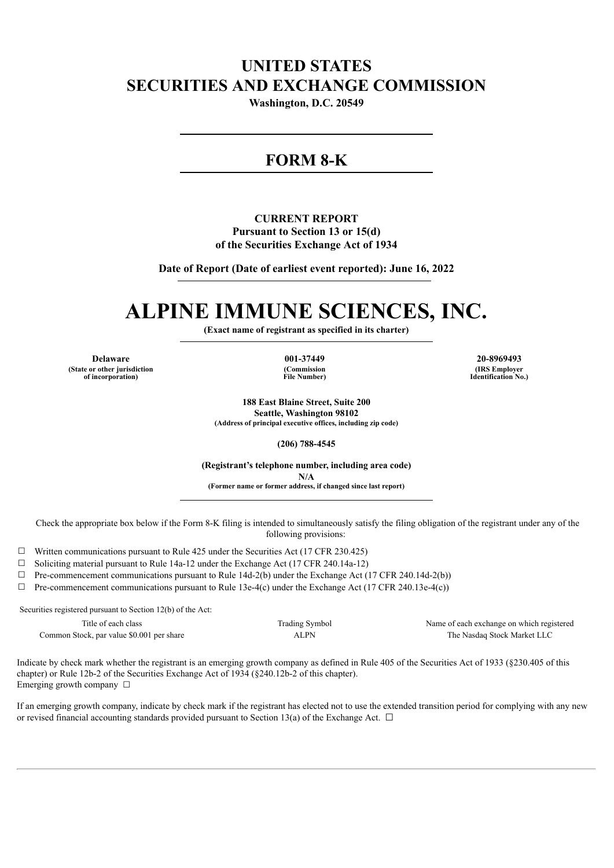# **UNITED STATES SECURITIES AND EXCHANGE COMMISSION**

**Washington, D.C. 20549**

# **FORM 8-K**

## **CURRENT REPORT Pursuant to Section 13 or 15(d) of the Securities Exchange Act of 1934**

**Date of Report (Date of earliest event reported): June 16, 2022**

# **ALPINE IMMUNE SCIENCES, INC.**

**(Exact name of registrant as specified in its charter)**

**Delaware 001-37449 20-8969493 (State or other jurisdiction of incorporation)**

**(Commission File Number)**

**(IRS Employer Identification No.)**

**188 East Blaine Street, Suite 200 Seattle, Washington 98102 (Address of principal executive offices, including zip code)**

**(206) 788-4545**

**(Registrant's telephone number, including area code) N/A (Former name or former address, if changed since last report)**

Check the appropriate box below if the Form 8-K filing is intended to simultaneously satisfy the filing obligation of the registrant under any of the following provisions:

 $\Box$  Written communications pursuant to Rule 425 under the Securities Act (17 CFR 230.425)

 $\Box$  Soliciting material pursuant to Rule 14a-12 under the Exchange Act (17 CFR 240.14a-12)

 $\Box$  Pre-commencement communications pursuant to Rule 14d-2(b) under the Exchange Act (17 CFR 240.14d-2(b))

 $\Box$  Pre-commencement communications pursuant to Rule 13e-4(c) under the Exchange Act (17 CFR 240.13e-4(c))

Securities registered pursuant to Section 12(b) of the Act:

Common Stock, par value \$0.001 per share ALPN ALPN The Nasdaq Stock Market LLC

Title of each class Trading Symbol Name of each exchange on which registered

Indicate by check mark whether the registrant is an emerging growth company as defined in Rule 405 of the Securities Act of 1933 (§230.405 of this chapter) or Rule 12b-2 of the Securities Exchange Act of 1934 (§240.12b-2 of this chapter). Emerging growth company  $\Box$ 

If an emerging growth company, indicate by check mark if the registrant has elected not to use the extended transition period for complying with any new or revised financial accounting standards provided pursuant to Section 13(a) of the Exchange Act.  $\Box$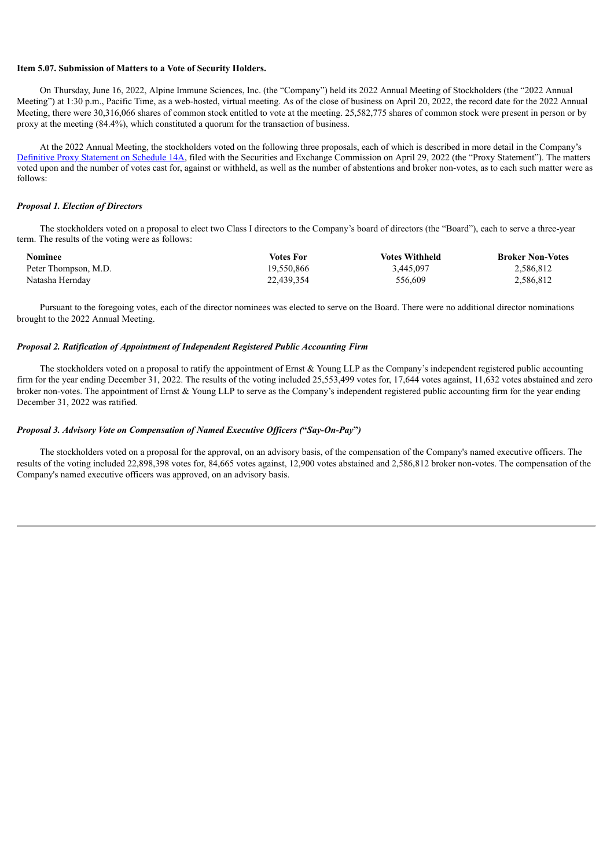#### **Item 5.07. Submission of Matters to a Vote of Security Holders.**

On Thursday, June 16, 2022, Alpine Immune Sciences, Inc. (the "Company") held its 2022 Annual Meeting of Stockholders (the "2022 Annual Meeting") at 1:30 p.m., Pacific Time, as a web-hosted, virtual meeting. As of the close of business on April 20, 2022, the record date for the 2022 Annual Meeting, there were 30,316,066 shares of common stock entitled to vote at the meeting. 25,582,775 shares of common stock were present in person or by proxy at the meeting (84.4%), which constituted a quorum for the transaction of business.

At the 2022 Annual Meeting, the stockholders voted on the following three proposals, each of which is described in more detail in the Company's [Definitive](http://www.sec.gov/Archives/edgar/data/1626199/000162619922000038/defproxy_2021.htm) Proxy Statement on Schedule 14A, filed with the Securities and Exchange Commission on April 29, 2022 (the "Proxy Statement"). The matters voted upon and the number of votes cast for, against or withheld, as well as the number of abstentions and broker non-votes, as to each such matter were as follows:

#### *Proposal 1. Election of Directors*

The stockholders voted on a proposal to elect two Class I directors to the Company's board of directors (the "Board"), each to serve a three-year term. The results of the voting were as follows:

| <b>Nominee</b>       | Votes For  | <b>Votes Withheld</b> | <b>Broker Non-Votes</b> |
|----------------------|------------|-----------------------|-------------------------|
| Peter Thompson, M.D. | 19.550.866 | 3,445,097             | 2,586,812               |
| Natasha Herndav      | 22,439,354 | 556,609               | 2,586,812               |

Pursuant to the foregoing votes, each of the director nominees was elected to serve on the Board. There were no additional director nominations brought to the 2022 Annual Meeting.

#### *Proposal 2. Ratification of Appointment of Independent Registered Public Accounting Firm*

The stockholders voted on a proposal to ratify the appointment of Ernst & Young LLP as the Company's independent registered public accounting firm for the year ending December 31, 2022. The results of the voting included 25,553,499 votes for, 17,644 votes against, 11,632 votes abstained and zero broker non-votes. The appointment of Ernst & Young LLP to serve as the Company's independent registered public accounting firm for the year ending December 31, 2022 was ratified.

#### *Proposal 3. Advisory Vote on Compensation of Named Executive Of icers (***"***Say-On-Pay***"***)*

The stockholders voted on a proposal for the approval, on an advisory basis, of the compensation of the Company's named executive officers. The results of the voting included 22,898,398 votes for, 84,665 votes against, 12,900 votes abstained and 2,586,812 broker non-votes. The compensation of the Company's named executive officers was approved, on an advisory basis.